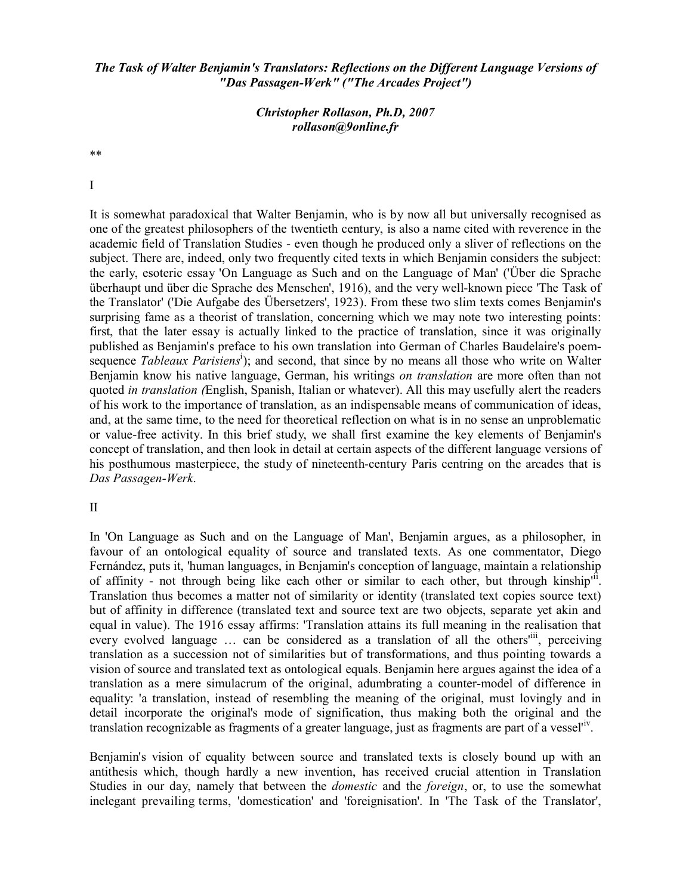# *The Task of Walter Benjamin's Translators: Reflections on the Different Language Versions of "Das Passagen-Werk" ("The Arcades Project")*

# *Christopher Rollason, Ph.D, 2007 rollason@9online.fr*

\*\*

I

It is somewhat paradoxical that Walter Benjamin, who is by now all but universally recognised as one of the greatest philosophers of the twentieth century, is also a name cited with reverence in the academic field of Translation Studies - even though he produced only a sliver of reflections on the subject. There are, indeed, only two frequently cited texts in which Benjamin considers the subject: the early, esoteric essay 'On Language as Such and on the Language of Man' ('Über die Sprache überhaupt und über die Sprache des Menschen', 1916), and the very well-known piece 'The Task of the Translator' ('Die Aufgabe des Übersetzers', 1923). From these two slim texts comes Benjamin's surprising fame as a theorist of translation, concerning which we may note two interesting points: first, that the later essay is actually linked to the practice of translation, since it was originally published as Benjamin's preface to his own translation into German of Charles Baudelaire's poemsequence *Tableaux Parisiens<sup>i</sup>*); and second, that since by no means all those who write on Walter Benjamin know his native language, German, his writings *on translation* are more often than not quoted *in translation (*English, Spanish, Italian or whatever). All this may usefully alert the readers of his work to the importance of translation, as an indispensable means of communication of ideas, and, at the same time, to the need for theoretical reflection on what is in no sense an unproblematic or value-free activity. In this brief study, we shall first examine the key elements of Benjamin's concept of translation, and then look in detail at certain aspects of the different language versions of his posthumous masterpiece, the study of nineteenth-century Paris centring on the arcades that is *Das Passagen-Werk*.

### II

In 'On Language as Such and on the Language of Man', Benjamin argues, as a philosopher, in favour of an ontological equality of source and translated texts. As one commentator, Diego Fernández, puts it, 'human languages, in Benjamin's conception of language, maintain a relationship of affinity - not through being like each other or similar to each other, but through kinship<sup>11</sup>. Translation thus becomes a matter not of similarity or identity (translated text copies source text) but of affinity in difference (translated text and source text are two objects, separate yet akin and equal in value). The 1916 essay affirms: 'Translation attains its full meaning in the realisation that every evolved language ... can be considered as a translation of all the others<sup>tiii</sup>, perceiving translation as a succession not of similarities but of transformations, and thus pointing towards a vision of source and translated text as ontological equals. Benjamin here argues against the idea of a translation as a mere simulacrum of the original, adumbrating a counter-model of difference in equality: 'a translation, instead of resembling the meaning of the original, must lovingly and in detail incorporate the original's mode of signification, thus making both the original and the translation recognizable as fragments of a greater language, just as fragments are part of a vessel<sup>riv</sup>.

Benjamin's vision of equality between source and translated texts is closely bound up with an antithesis which, though hardly a new invention, has received crucial attention in Translation Studies in our day, namely that between the *domestic* and the *foreign*, or, to use the somewhat inelegant prevailing terms, 'domestication' and 'foreignisation'. In 'The Task of the Translator',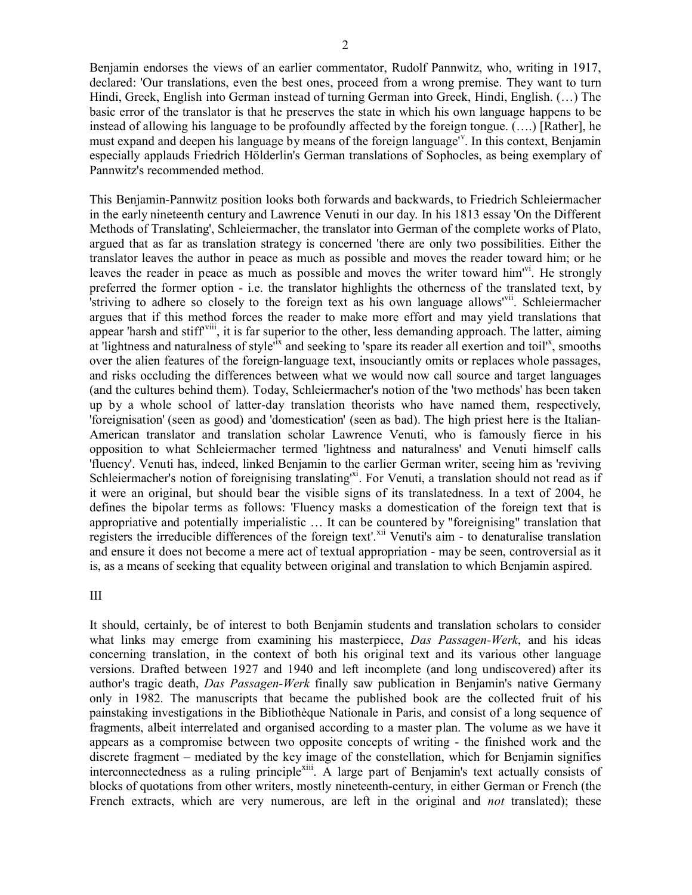Benjamin endorses the views of an earlier commentator, Rudolf Pannwitz, who, writing in 1917, declared: 'Our translations, even the best ones, proceed from a wrong premise. They want to turn Hindi, Greek, English into German instead of turning German into Greek, Hindi, English. (…) The basic error of the translator is that he preserves the state in which his own language happens to be instead of allowing his language to be profoundly affected by the foreign tongue. (….) [Rather], he must expand and deepen his language by means of the foreign language<sup>ry</sup>. In this context, Benjamin especially applauds Friedrich Hölderlin's German translations of Sophocles, as being exemplary of Pannwitz's recommended method.

This Benjamin-Pannwitz position looks both forwards and backwards, to Friedrich Schleiermacher in the early nineteenth century and Lawrence Venuti in our day. In his 1813 essay 'On the Different Methods of Translating', Schleiermacher, the translator into German of the complete works of Plato, argued that as far as translation strategy is concerned 'there are only two possibilities. Either the translator leaves the author in peace as much as possible and moves the reader toward him; or he leaves the reader in peace as much as possible and moves the writer toward him<sup>vi</sup>. He strongly preferred the former option - i.e. the translator highlights the otherness of the translated text, by striving to adhere so closely to the foreign text as his own language allows<sup>'vii</sup>. Schleiermacher argues that if this method forces the reader to make more effort and may yield translations that appear 'harsh and stiff<sup>viii</sup>, it is far superior to the other, less demanding approach. The latter, aiming at lightness and naturalness of style<sup> $\ddot{x}$ </sup> and seeking to 'spare its reader all exertion and toil'<sup>x</sup>, smooths over the alien features of the foreign-language text, insouciantly omits or replaces whole passages, and risks occluding the differences between what we would now call source and target languages (and the cultures behind them). Today, Schleiermacher's notion of the 'two methods' has been taken up by a whole school of latter-day translation theorists who have named them, respectively, 'foreignisation' (seen as good) and 'domestication' (seen as bad). The high priest here is the Italian-American translator and translation scholar Lawrence Venuti, who is famously fierce in his opposition to what Schleiermacher termed 'lightness and naturalness' and Venuti himself calls 'fluency'. Venuti has, indeed, linked Benjamin to the earlier German writer, seeing him as 'reviving Schleiermacher's notion of foreignising translating<sup>1xi</sup>. For Venuti, a translation should not read as if it were an original, but should bear the visible signs of its translatedness. In a text of 2004, he defines the bipolar terms as follows: 'Fluency masks a domestication of the foreign text that is appropriative and potentially imperialistic … It can be countered by "foreignising" translation that registers the irreducible differences of the foreign text'.<sup>xii</sup> Venuti's aim - to denaturalise translation and ensure it does not become a mere act of textual appropriation - may be seen, controversial as it is, as a means of seeking that equality between original and translation to which Benjamin aspired.

III

It should, certainly, be of interest to both Benjamin students and translation scholars to consider what links may emerge from examining his masterpiece, *Das Passagen-Werk*, and his ideas concerning translation, in the context of both his original text and its various other language versions. Drafted between 1927 and 1940 and left incomplete (and long undiscovered) after its author's tragic death, *Das Passagen-Werk* finally saw publication in Benjamin's native Germany only in 1982. The manuscripts that became the published book are the collected fruit of his painstaking investigations in the Bibliothèque Nationale in Paris, and consist of a long sequence of fragments, albeit interrelated and organised according to a master plan. The volume as we have it appears as a compromise between two opposite concepts of writing - the finished work and the discrete fragment – mediated by the key image of the constellation, which for Benjamin signifies interconnectedness as a ruling principle<sup>xiii</sup>. A large part of Benjamin's text actually consists of blocks of quotations from other writers, mostly nineteenth-century, in either German or French (the French extracts, which are very numerous, are left in the original and *not* translated); these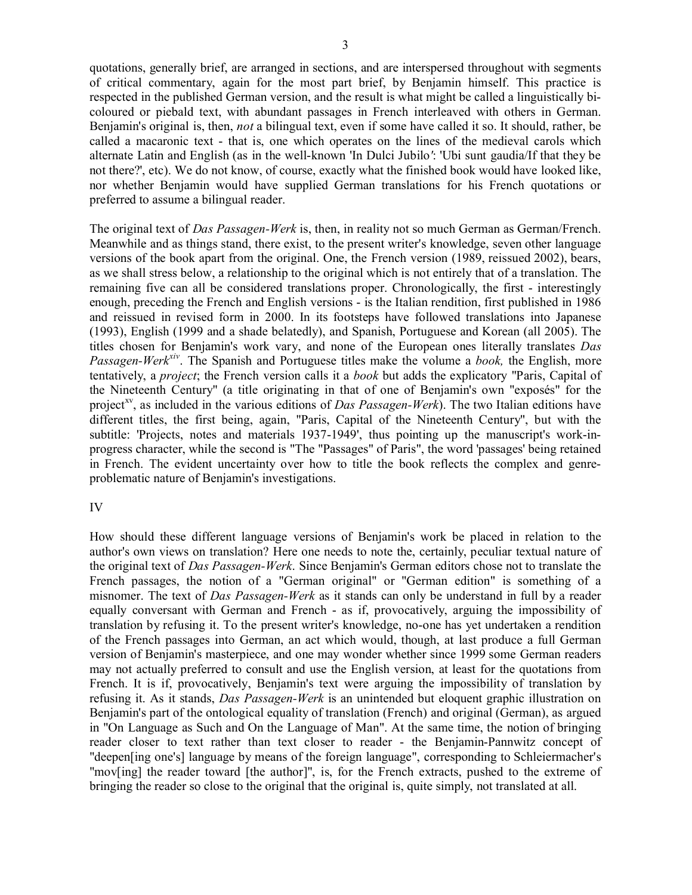quotations, generally brief, are arranged in sections, and are interspersed throughout with segments of critical commentary, again for the most part brief, by Benjamin himself. This practice is respected in the published German version, and the result is what might be called a linguistically bicoloured or piebald text, with abundant passages in French interleaved with others in German. Benjamin's original is, then, *not* a bilingual text, even if some have called it so. It should, rather, be called a macaronic text - that is, one which operates on the lines of the medieval carols which alternate Latin and English (as in the well-known 'In Dulci Jubilo*'*: 'Ubi sunt gaudia/If that they be not there?', etc). We do not know, of course, exactly what the finished book would have looked like, nor whether Benjamin would have supplied German translations for his French quotations or preferred to assume a bilingual reader.

The original text of *Das Passagen-Werk* is, then, in reality not so much German as German/French. Meanwhile and as things stand, there exist, to the present writer's knowledge, seven other language versions of the book apart from the original. One, the French version (1989, reissued 2002), bears, as we shall stress below, a relationship to the original which is not entirely that of a translation. The remaining five can all be considered translations proper. Chronologically, the first - interestingly enough, preceding the French and English versions - is the Italian rendition, first published in 1986 and reissued in revised form in 2000. In its footsteps have followed translations into Japanese (1993), English (1999 and a shade belatedly), and Spanish, Portuguese and Korean (all 2005). The titles chosen for Benjamin's work vary, and none of the European ones literally translates *Das Passagen-Werkxiv* . The Spanish and Portuguese titles make the volume a *book,* the English, more tentatively, a *project*; the French version calls it a *book* but adds the explicatory "Paris, Capital of the Nineteenth Century" (a title originating in that of one of Benjamin's own "exposés" for the project<sup>xv</sup>, as included in the various editions of *Das Passagen-Werk*). The two Italian editions have different titles, the first being, again, "Paris, Capital of the Nineteenth Century", but with the subtitle: 'Projects, notes and materials 1937-1949', thus pointing up the manuscript's work-inprogress character, while the second is "The "Passages" of Paris", the word 'passages' being retained in French. The evident uncertainty over how to title the book reflects the complex and genreproblematic nature of Benjamin's investigations.

### IV

How should these different language versions of Benjamin's work be placed in relation to the author's own views on translation? Here one needs to note the, certainly, peculiar textual nature of the original text of *Das Passagen-Werk*. Since Benjamin's German editors chose not to translate the French passages, the notion of a "German original" or "German edition" is something of a misnomer. The text of *Das Passagen-Werk* as it stands can only be understand in full by a reader equally conversant with German and French - as if, provocatively, arguing the impossibility of translation by refusing it. To the present writer's knowledge, no-one has yet undertaken a rendition of the French passages into German, an act which would, though, at last produce a full German version of Benjamin's masterpiece, and one may wonder whether since 1999 some German readers may not actually preferred to consult and use the English version, at least for the quotations from French. It is if, provocatively, Benjamin's text were arguing the impossibility of translation by refusing it. As it stands, *Das Passagen-Werk* is an unintended but eloquent graphic illustration on Benjamin's part of the ontological equality of translation (French) and original (German), as argued in "On Language as Such and On the Language of Man". At the same time, the notion of bringing reader closer to text rather than text closer to reader - the Benjamin-Pannwitz concept of "deepen[ing one's] language by means of the foreign language", corresponding to Schleiermacher's "mov[ing] the reader toward [the author]", is, for the French extracts, pushed to the extreme of bringing the reader so close to the original that the original is, quite simply, not translated at all.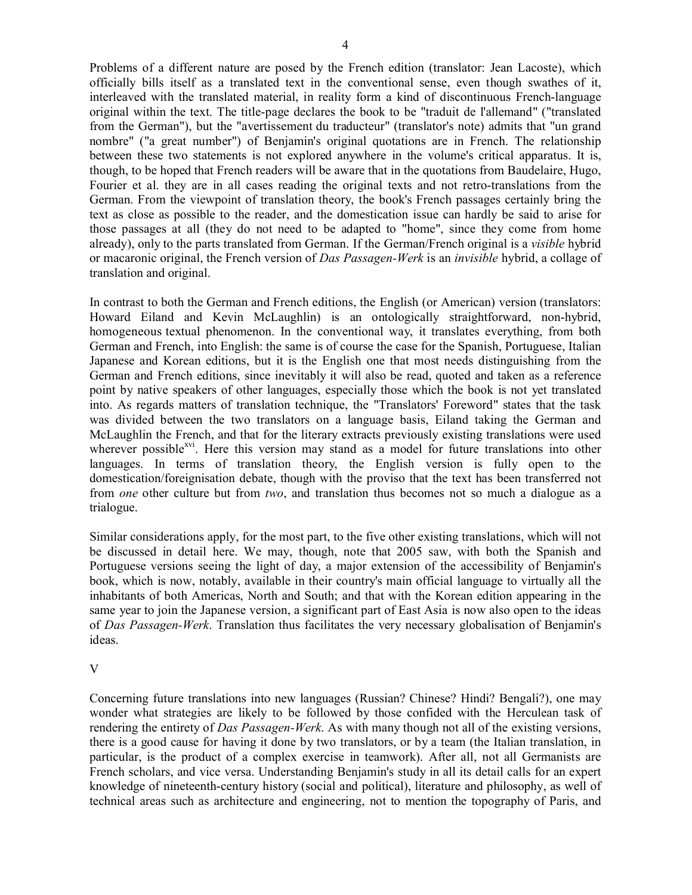Problems of a different nature are posed by the French edition (translator: Jean Lacoste), which officially bills itself as a translated text in the conventional sense, even though swathes of it, interleaved with the translated material, in reality form a kind of discontinuous French-language original within the text. The title-page declares the book to be "traduit de l'allemand" ("translated from the German"), but the "avertissement du traducteur" (translator's note) admits that "un grand nombre" ("a great number") of Benjamin's original quotations are in French. The relationship between these two statements is not explored anywhere in the volume's critical apparatus. It is, though, to be hoped that French readers will be aware that in the quotations from Baudelaire, Hugo, Fourier et al. they are in all cases reading the original texts and not retro-translations from the German. From the viewpoint of translation theory, the book's French passages certainly bring the text as close as possible to the reader, and the domestication issue can hardly be said to arise for those passages at all (they do not need to be adapted to "home", since they come from home already), only to the parts translated from German. If the German/French original is a *visible* hybrid or macaronic original, the French version of *Das Passagen-Werk* is an *invisible* hybrid, a collage of translation and original.

In contrast to both the German and French editions, the English (or American) version (translators: Howard Eiland and Kevin McLaughlin) is an ontologically straightforward, non-hybrid, homogeneous textual phenomenon. In the conventional way, it translates everything, from both German and French, into English: the same is of course the case for the Spanish, Portuguese, Italian Japanese and Korean editions, but it is the English one that most needs distinguishing from the German and French editions, since inevitably it will also be read, quoted and taken as a reference point by native speakers of other languages, especially those which the book is not yet translated into. As regards matters of translation technique, the "Translators' Foreword" states that the task was divided between the two translators on a language basis, Eiland taking the German and McLaughlin the French, and that for the literary extracts previously existing translations were used wherever possible<sup>xvi</sup>. Here this version may stand as a model for future translations into other languages. In terms of translation theory, the English version is fully open to the domestication/foreignisation debate, though with the proviso that the text has been transferred not from *one* other culture but from *two*, and translation thus becomes not so much a dialogue as a trialogue.

Similar considerations apply, for the most part, to the five other existing translations, which will not be discussed in detail here. We may, though, note that 2005 saw, with both the Spanish and Portuguese versions seeing the light of day, a major extension of the accessibility of Benjamin's book, which is now, notably, available in their country's main official language to virtually all the inhabitants of both Americas, North and South; and that with the Korean edition appearing in the same year to join the Japanese version, a significant part of East Asia is now also open to the ideas of *Das Passagen-Werk*. Translation thus facilitates the very necessary globalisation of Benjamin's ideas.

# V

Concerning future translations into new languages (Russian? Chinese? Hindi? Bengali?), one may wonder what strategies are likely to be followed by those confided with the Herculean task of rendering the entirety of *Das Passagen-Werk*. As with many though not all of the existing versions, there is a good cause for having it done by two translators, or by a team (the Italian translation, in particular, is the product of a complex exercise in teamwork). After all, not all Germanists are French scholars, and vice versa. Understanding Benjamin's study in all its detail calls for an expert knowledge of nineteenth-century history (social and political), literature and philosophy, as well of technical areas such as architecture and engineering, not to mention the topography of Paris, and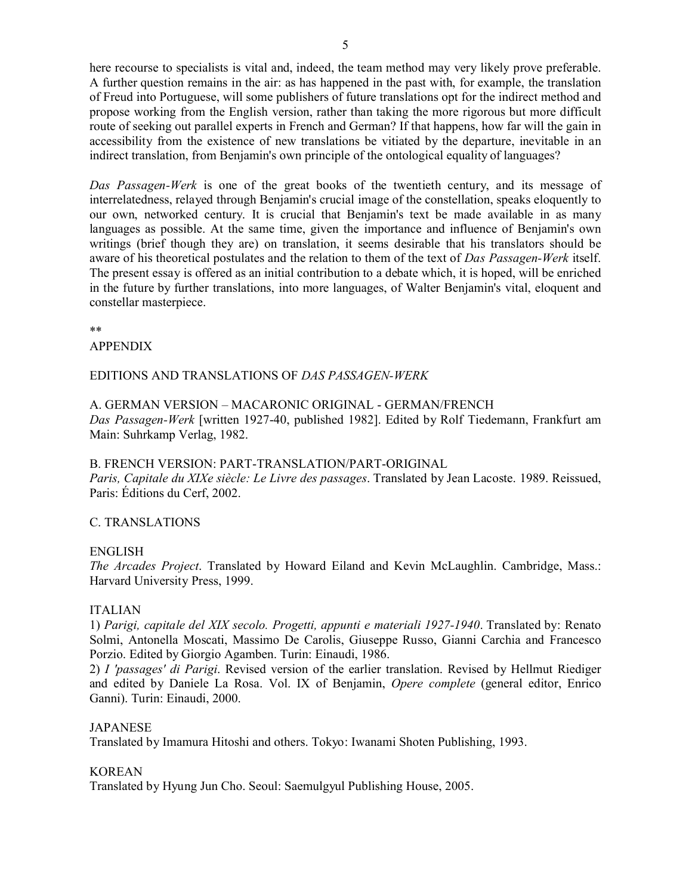here recourse to specialists is vital and, indeed, the team method may very likely prove preferable. A further question remains in the air: as has happened in the past with, for example, the translation of Freud into Portuguese, will some publishers of future translations opt for the indirect method and propose working from the English version, rather than taking the more rigorous but more difficult route of seeking out parallel experts in French and German? If that happens, how far will the gain in accessibility from the existence of new translations be vitiated by the departure, inevitable in an indirect translation, from Benjamin's own principle of the ontological equality of languages?

*Das Passagen-Werk* is one of the great books of the twentieth century, and its message of interrelatedness, relayed through Benjamin's crucial image of the constellation, speaks eloquently to our own, networked century. It is crucial that Benjamin's text be made available in as many languages as possible. At the same time, given the importance and influence of Benjamin's own writings (brief though they are) on translation, it seems desirable that his translators should be aware of his theoretical postulates and the relation to them of the text of *Das Passagen-Werk* itself. The present essay is offered as an initial contribution to a debate which, it is hoped, will be enriched in the future by further translations, into more languages, of Walter Benjamin's vital, eloquent and constellar masterpiece.

\*\*

## APPENDIX

# EDITIONS AND TRANSLATIONS OF *DAS PASSAGEN-WERK*

#### A. GERMAN VERSION – MACARONIC ORIGINAL - GERMAN/FRENCH

*Das Passagen-Werk* [written 1927-40, published 1982]. Edited by Rolf Tiedemann, Frankfurt am Main: Suhrkamp Verlag, 1982.

# B. FRENCH VERSION: PART-TRANSLATION/PART-ORIGINAL

*Paris, Capitale du XIXe siècle: Le Livre des passages*. Translated by Jean Lacoste. 1989. Reissued, Paris: Éditions du Cerf, 2002.

# C. TRANSLATIONS

### ENGLISH

*The Arcades Project*. Translated by Howard Eiland and Kevin McLaughlin. Cambridge, Mass.: Harvard University Press, 1999.

### ITALIAN

1) *Parigi, capitale del XIX secolo. Progetti, appunti e materiali 1927-1940*. Translated by: Renato Solmi, Antonella Moscati, Massimo De Carolis, Giuseppe Russo, Gianni Carchia and Francesco Porzio. Edited by Giorgio Agamben. Turin: Einaudi, 1986.

2) *I 'passages' di Parigi*. Revised version of the earlier translation. Revised by Hellmut Riediger and edited by Daniele La Rosa. Vol. IX of Benjamin, *Opere complete* (general editor, Enrico Ganni). Turin: Einaudi, 2000.

# **JAPANESE**

Translated by Imamura Hitoshi and others. Tokyo: Iwanami Shoten Publishing, 1993.

## KOREAN

Translated by Hyung Jun Cho. Seoul: Saemulgyul Publishing House, 2005.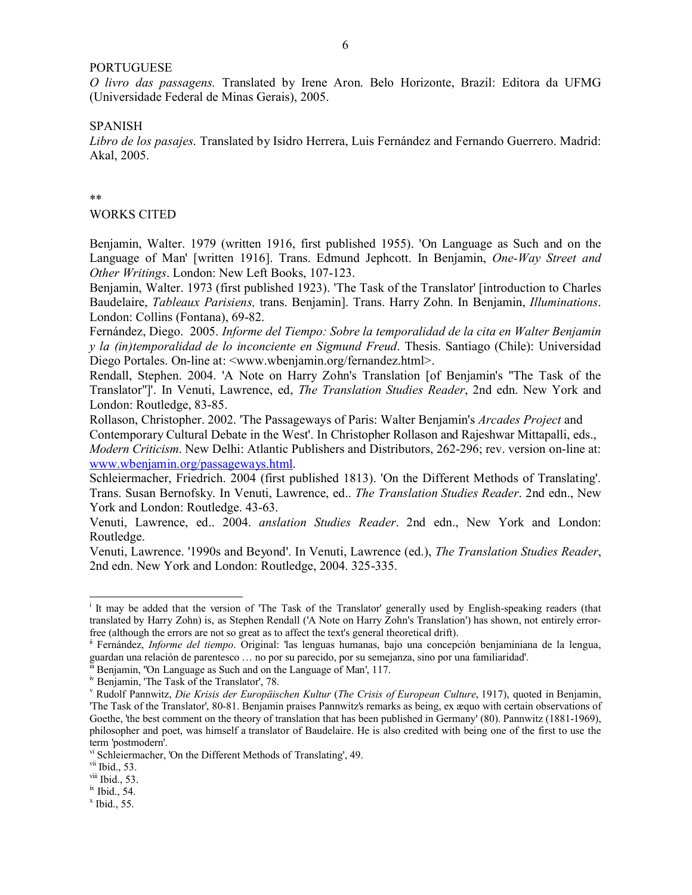## PORTUGUESE

*O livro das passagens.* Translated by Irene Aron. Belo Horizonte, Brazil: Editora da UFMG (Universidade Federal de Minas Gerais), 2005.

#### SPANISH

*Libro de los pasajes*. Translated by Isidro Herrera, Luis Fernández and Fernando Guerrero. Madrid: Akal, 2005.

#### \*\*

#### WORKS CITED

Benjamin, Walter. 1979 (written 1916, first published 1955). 'On Language as Such and on the Language of Man' [written 1916]. Trans. Edmund Jephcott. In Benjamin, *One-Way Street and Other Writings*. London: New Left Books, 107-123.

Benjamin, Walter. 1973 (first published 1923). 'The Task of the Translator' [introduction to Charles Baudelaire, *Tableaux Parisiens,* trans. Benjamin]. Trans. Harry Zohn. In Benjamin, *Illuminations*. London: Collins (Fontana), 69-82.

Fernández, Diego. 2005. *Informe del Tiempo: Sobre la temporalidad de la cita en Walter Benjamin y la (in)temporalidad de lo inconciente en Sigmund Freud*. Thesis. Santiago (Chile): Universidad Diego Portales. On-line at: <www.wbenjamin.org/fernandez.html>.

Rendall, Stephen. 2004. 'A Note on Harry Zohn's Translation [of Benjamin's "The Task of the Translator"]'. In Venuti, Lawrence, ed, *The Translation Studies Reader*, 2nd edn. New York and London: Routledge, 83-85.

Rollason, Christopher. 2002. 'The Passageways of Paris: Walter Benjamin's *Arcades Project* and Contemporary Cultural Debate in the West'. In Christopher Rollason and Rajeshwar Mittapalli, eds., *Modern Criticism*. New Delhi: Atlantic Publishers and Distributors, 262-296; rev. version on-line at: www.wbenjamin.org/passageways.html.

Schleiermacher, Friedrich. 2004 (first published 1813). 'On the Different Methods of Translating'. Trans. Susan Bernofsky. In Venuti, Lawrence, ed.. *The Translation Studies Reader*. 2nd edn., New York and London: Routledge. 43-63.

Venuti, Lawrence, ed.. 2004. *anslation Studies Reader*. 2nd edn., New York and London: Routledge.

Venuti, Lawrence. '1990s and Beyond'. In Venuti, Lawrence (ed.), *The Translation Studies Reader*, 2nd edn. New York and London: Routledge, 2004. 325-335.

 $\overline{a}$ 

i It may be added that the version of 'The Task of the Translator' generally used by English-speaking readers (that translated by Harry Zohn) is, as Stephen Rendall ('A Note on Harry Zohn's Translation') has shown, not entirely errorfree (although the errors are not so great as to affect the text's general theoretical drift).

ii Fernández, *Informe del tiempo*. Original: 'las lenguas humanas, bajo una concepción benjaminiana de la lengua, guardan una relación de parentesco … no por su parecido, por su semejanza, sino por una familiaridad'.

Benjamin, ''On Language as Such and on the Language of Man', 117.

iv Benjamin, 'The Task of the Translator', 78.

v Rudolf Pannwitz, *Die Krisis der Europäischen Kultur* (*The Crisis of European Culture*, 1917), quoted in Benjamin, 'The Task of the Translator', 80-81. Benjamin praises Pannwitz's remarks as being, ex æquo with certain observations of Goethe, 'the best comment on the theory of translation that has been published in Germany' (80). Pannwitz (1881-1969), philosopher and poet, was himself a translator of Baudelaire. He is also credited with being one of the first to use the term 'postmodern'.

vi Schleiermacher, 'On the Different Methods of Translating', 49.

vii Ibid., 53.

viii Ibid., 53.

ix Ibid., 54.

 $x$  Ibid., 55.